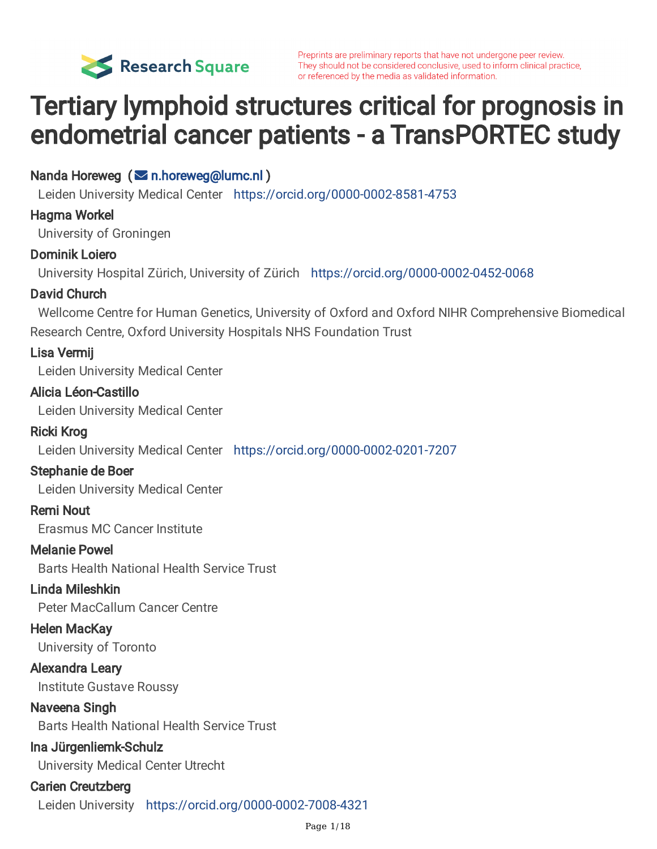

Preprints are preliminary reports that have not undergone peer review. They should not be considered conclusive, used to inform clinical practice, or referenced by the media as validated information.

# Tertiary lymphoid structures critical for prognosis in endometrial cancer patients - a TransPORTEC study

Nanda Horeweg (**⊠** [n.horeweg@lumc.nl](mailto:n.horeweg@lumc.nl))

Leiden University Medical Center <https://orcid.org/0000-0002-8581-4753>

#### Hagma Workel

University of Groningen

### Dominik Loiero

University Hospital Zürich, University of Zürich <https://orcid.org/0000-0002-0452-0068>

### David Church

Wellcome Centre for Human Genetics, University of Oxford and Oxford NIHR Comprehensive Biomedical Research Centre, Oxford University Hospitals NHS Foundation Trust

### Lisa Vermij

Leiden University Medical Center

#### Alicia Léon-Castillo

Leiden University Medical Center

### Ricki Krog

Leiden University Medical Center <https://orcid.org/0000-0002-0201-7207>

### Stephanie de Boer

Leiden University Medical Center

### Remi Nout

Erasmus MC Cancer Institute

### Melanie Powel

Barts Health National Health Service Trust

### Linda Mileshkin

Peter MacCallum Cancer Centre

### Helen MacKay

University of Toronto

#### Alexandra Leary

Institute Gustave Roussy

#### Naveena Singh

Barts Health National Health Service Trust

### Ina Jürgenliemk-Schulz

University Medical Center Utrecht

### Carien Creutzberg

Leiden University <https://orcid.org/0000-0002-7008-4321>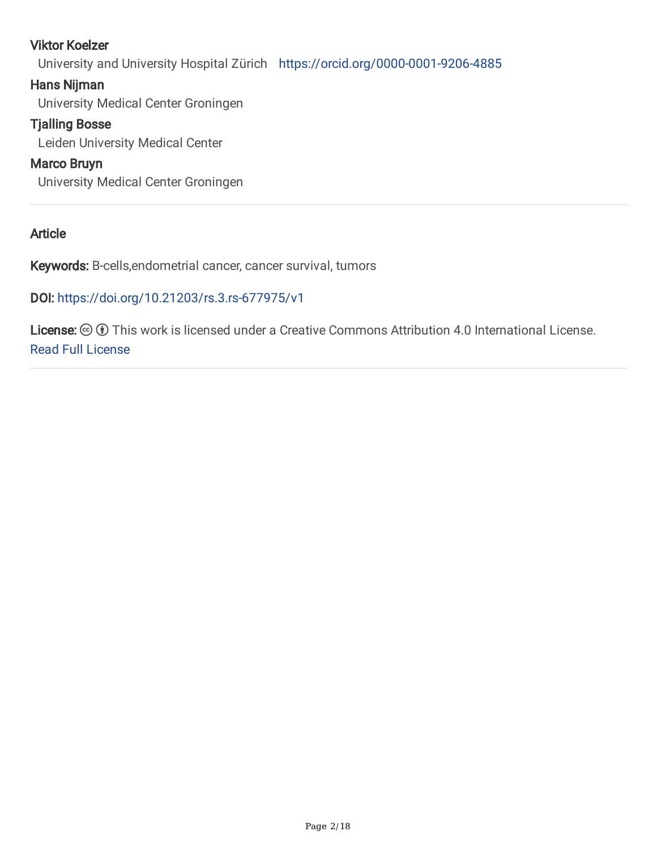### Viktor Koelzer

University and University Hospital Zürich <https://orcid.org/0000-0001-9206-4885>

#### Hans Nijman

University Medical Center Groningen

### Tjalling Bosse

Leiden University Medical Center

## Marco Bruyn

University Medical Center Groningen

### Article

Keywords: B-cells,endometrial cancer, cancer survival, tumors

### DOI: <https://doi.org/10.21203/rs.3.rs-677975/v1>

**License:**  $\textcircled{c}$   $\textcircled{f}$  This work is licensed under a Creative Commons Attribution 4.0 International License. Read Full [License](https://creativecommons.org/licenses/by/4.0/)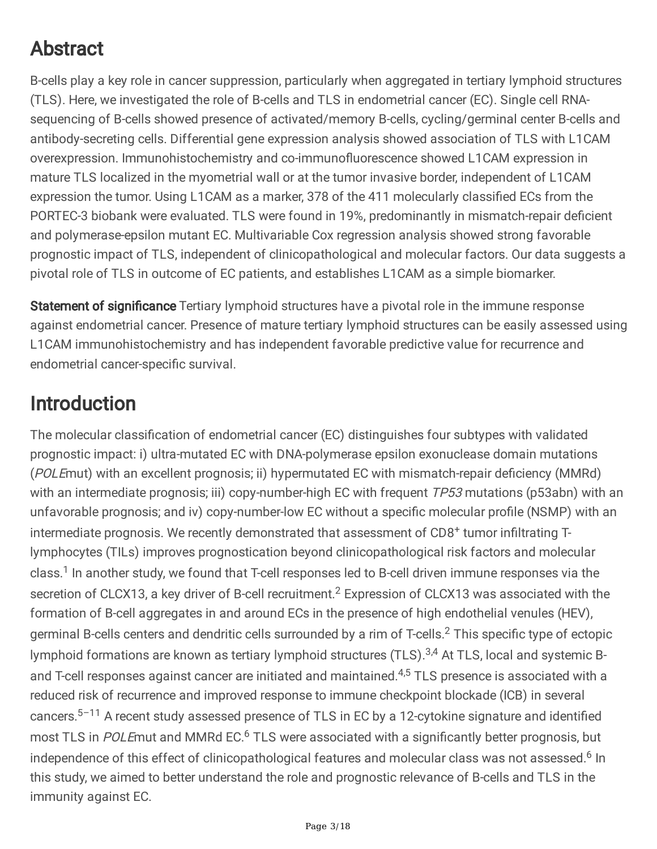# Abstract

B-cells play a key role in cancer suppression, particularly when aggregated in tertiary lymphoid structures (TLS). Here, we investigated the role of B-cells and TLS in endometrial cancer (EC). Single cell RNAsequencing of B-cells showed presence of activated/memory B-cells, cycling/germinal center B-cells and antibody-secreting cells. Differential gene expression analysis showed association of TLS with L1CAM overexpression. Immunohistochemistry and co-immunofluorescence showed L1CAM expression in mature TLS localized in the myometrial wall or at the tumor invasive border, independent of L1CAM expression the tumor. Using L1CAM as a marker, 378 of the 411 molecularly classified ECs from the PORTEC-3 biobank were evaluated. TLS were found in 19%, predominantly in mismatch-repair deficient and polymerase-epsilon mutant EC. Multivariable Cox regression analysis showed strong favorable prognostic impact of TLS, independent of clinicopathological and molecular factors. Our data suggests a pivotal role of TLS in outcome of EC patients, and establishes L1CAM as a simple biomarker.

Statement of significance Tertiary lymphoid structures have a pivotal role in the immune response against endometrial cancer. Presence of mature tertiary lymphoid structures can be easily assessed using L1CAM immunohistochemistry and has independent favorable predictive value for recurrence and endometrial cancer-specific survival.

# Introduction

The molecular classification of endometrial cancer (EC) distinguishes four subtypes with validated prognostic impact: i) ultra-mutated EC with DNA-polymerase epsilon exonuclease domain mutations (POLE mut) with an excellent prognosis; ii) hypermutated EC with mismatch-repair deficiency (MMRd) with an intermediate prognosis; iii) copy-number-high EC with frequent TP53 mutations (p53abn) with an unfavorable prognosis; and iv) copy-number-low EC without a specific molecular profile (NSMP) with an intermediate prognosis. We recently demonstrated that assessment of CD8<sup>+</sup> tumor infiltrating Tlymphocytes (TILs) improves prognostication beyond clinicopathological risk factors and molecular class.<sup>1</sup> In another study, we found that T-cell responses led to B-cell driven immune responses via the secretion of CLCX13, a key driver of B-cell recruitment.<sup>2</sup> Expression of CLCX13 was associated with the formation of B-cell aggregates in and around ECs in the presence of high endothelial venules (HEV), germinal B-cells centers and dendritic cells surrounded by a rim of T-cells. <sup>2</sup> This specific type of ectopic lymphoid formations are known as tertiary lymphoid structures (TLS).<sup>3,4</sup> At TLS, local and systemic Band T-cell responses against cancer are initiated and maintained.<sup>4,5</sup> TLS presence is associated with a reduced risk of recurrence and improved response to immune checkpoint blockade (ICB) in several cancers.<sup>5-11</sup> A recent study assessed presence of TLS in EC by a 12-cytokine signature and identified most TLS in POLEmut and MMRd EC.<sup>6</sup> TLS were associated with a significantly better prognosis, but independence of this effect of clinicopathological features and molecular class was not assessed.<sup>6</sup> In this study, we aimed to better understand the role and prognostic relevance of B-cells and TLS in the immunity against EC.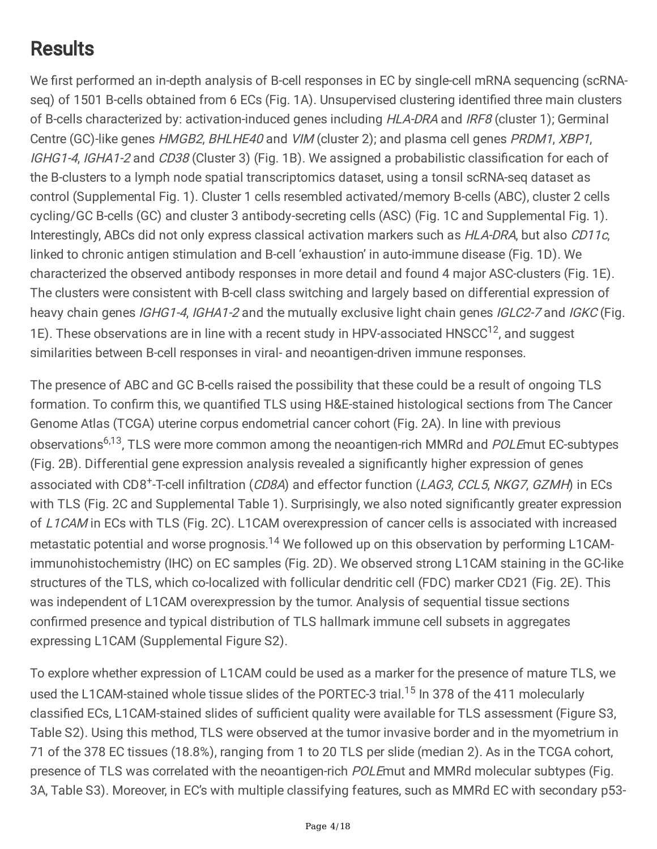# Results

We first performed an in-depth analysis of B-cell responses in EC by single-cell mRNA sequencing (scRNAseq) of 1501 B-cells obtained from 6 ECs (Fig. 1A). Unsupervised clustering identified three main clusters of B-cells characterized by: activation-induced genes including HLA-DRA and IRF8 (cluster 1); Germinal Centre (GC)-like genes HMGB2, BHLHE40 and VIM (cluster 2); and plasma cell genes PRDM1, XBP1, IGHG1-4, IGHA1-2 and CD38 (Cluster 3) (Fig. 1B). We assigned a probabilistic classification for each of the B-clusters to a lymph node spatial transcriptomics dataset, using a tonsil scRNA-seq dataset as control (Supplemental Fig. 1). Cluster 1 cells resembled activated/memory B-cells (ABC), cluster 2 cells cycling/GC B-cells (GC) and cluster 3 antibody-secreting cells (ASC) (Fig. 1C and Supplemental Fig. 1). Interestingly, ABCs did not only express classical activation markers such as HLA-DRA, but also CD11c, linked to chronic antigen stimulation and B-cell 'exhaustion' in auto-immune disease (Fig. 1D). We characterized the observed antibody responses in more detail and found 4 major ASC-clusters (Fig. 1E). The clusters were consistent with B-cell class switching and largely based on differential expression of heavy chain genes IGHG1-4, IGHA1-2 and the mutually exclusive light chain genes IGLC2-7 and IGKC (Fig. 1E). These observations are in line with a recent study in HPV-associated HNSCC<sup>12</sup>, and suggest similarities between B-cell responses in viral- and neoantigen-driven immune responses.

The presence of ABC and GC B-cells raised the possibility that these could be a result of ongoing TLS formation. To confirm this, we quantified TLS using H&E-stained histological sections from The Cancer Genome Atlas (TCGA) uterine corpus endometrial cancer cohort (Fig. 2A). In line with previous observations<sup>6,13</sup>, TLS were more common among the neoantigen-rich MMRd and POLEmut EC-subtypes (Fig. 2B). Differential gene expression analysis revealed a significantly higher expression of genes associated with CD8<sup>+</sup>-T-cell infiltration (CD8A) and effector function (LAG3, CCL5, NKG7, GZMH) in ECs with TLS (Fig. 2C and Supplemental Table 1). Surprisingly, we also noted significantly greater expression of L1CAM in ECs with TLS (Fig. 2C). L1CAM overexpression of cancer cells is associated with increased metastatic potential and worse prognosis.<sup>14</sup> We followed up on this observation by performing L1CAMimmunohistochemistry (IHC) on EC samples (Fig. 2D). We observed strong L1CAM staining in the GC-like structures of the TLS, which co-localized with follicular dendritic cell (FDC) marker CD21 (Fig. 2E). This was independent of L1CAM overexpression by the tumor. Analysis of sequential tissue sections confirmed presence and typical distribution of TLS hallmark immune cell subsets in aggregates expressing L1CAM (Supplemental Figure S2).

To explore whether expression of L1CAM could be used as a marker for the presence of mature TLS, we used the L1CAM-stained whole tissue slides of the PORTEC-3 trial.<sup>15</sup> In 378 of the 411 molecularly classified ECs, L1CAM-stained slides of sufficient quality were available for TLS assessment (Figure S3, Table S2). Using this method, TLS were observed at the tumor invasive border and in the myometrium in 71 of the 378 EC tissues (18.8%), ranging from 1 to 20 TLS per slide (median 2). As in the TCGA cohort, presence of TLS was correlated with the neoantigen-rich POLEmut and MMRd molecular subtypes (Fig. 3A, Table S3). Moreover, in EC's with multiple classifying features, such as MMRd EC with secondary p53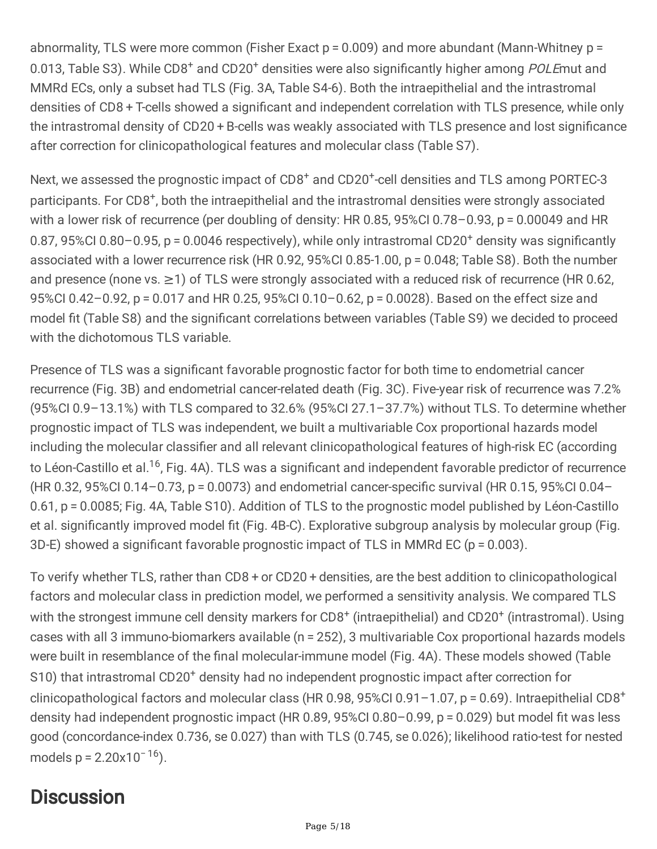abnormality, TLS were more common (Fisher Exact  $p = 0.009$ ) and more abundant (Mann-Whitney  $p =$ 0.013, Table S3). While CD8<sup>+</sup> and CD20<sup>+</sup> densities were also significantly higher among POLEmut and MMRd ECs, only a subset had TLS (Fig. 3A, Table S4-6). Both the intraepithelial and the intrastromal densities of CD8 + T-cells showed a significant and independent correlation with TLS presence, while only the intrastromal density of CD20 + B-cells was weakly associated with TLS presence and lost significance after correction for clinicopathological features and molecular class (Table S7).

Next, we assessed the prognostic impact of CD8<sup>+</sup> and CD20<sup>+</sup>-cell densities and TLS among PORTEC-3 participants. For CD8<sup>+</sup>, both the intraepithelial and the intrastromal densities were strongly associated with a lower risk of recurrence (per doubling of density: HR 0.85, 95%CI 0.78–0.93, p = 0.00049 and HR 0.87, 95%CI 0.80-0.95, p = 0.0046 respectively), while only intrastromal CD20<sup>+</sup> density was significantly associated with a lower recurrence risk (HR 0.92, 95%CI 0.85-1.00, p = 0.048; Table S8). Both the number and presence (none vs. ≥1) of TLS were strongly associated with a reduced risk of recurrence (HR 0.62, 95%CI 0.42–0.92, p = 0.017 and HR 0.25, 95%CI 0.10–0.62, p = 0.0028). Based on the effect size and model fit (Table S8) and the significant correlations between variables (Table S9) we decided to proceed with the dichotomous TLS variable.

Presence of TLS was a significant favorable prognostic factor for both time to endometrial cancer recurrence (Fig. 3B) and endometrial cancer-related death (Fig. 3C). Five-year risk of recurrence was 7.2% (95%CI 0.9–13.1%) with TLS compared to 32.6% (95%CI 27.1–37.7%) without TLS. To determine whether prognostic impact of TLS was independent, we built a multivariable Cox proportional hazards model including the molecular classifier and all relevant clinicopathological features of high-risk EC (according to Léon-Castillo et al.<sup>16</sup>, Fig. 4A). TLS was a significant and independent favorable predictor of recurrence (HR 0.32, 95%CI 0.14–0.73, p = 0.0073) and endometrial cancer-specific survival (HR 0.15, 95%CI 0.04– 0.61, p = 0.0085; Fig. 4A, Table S10). Addition of TLS to the prognostic model published by Léon-Castillo et al. significantly improved model fit (Fig. 4B-C). Explorative subgroup analysis by molecular group (Fig. 3D-E) showed a significant favorable prognostic impact of TLS in MMRd EC (p = 0.003).

To verify whether TLS, rather than CD8 + or CD20 + densities, are the best addition to clinicopathological factors and molecular class in prediction model, we performed a sensitivity analysis. We compared TLS with the strongest immune cell density markers for CD8<sup>+</sup> (intraepithelial) and CD20<sup>+</sup> (intrastromal). Using cases with all 3 immuno-biomarkers available (n = 252), 3 multivariable Cox proportional hazards models were built in resemblance of the final molecular-immune model (Fig. 4A). These models showed (Table S10) that intrastromal CD20<sup>+</sup> density had no independent prognostic impact after correction for clinicopathological factors and molecular class (HR 0.98, 95%Cl 0.91-1.07, p = 0.69). Intraepithelial CD8<sup>+</sup> density had independent prognostic impact (HR 0.89, 95%CI 0.80–0.99, p = 0.029) but model fit was less good (concordance-index 0.736, se 0.027) than with TLS (0.745, se 0.026); likelihood ratio-test for nested models  $p = 2.20 \times 10^{-16}$ ).

# **Discussion**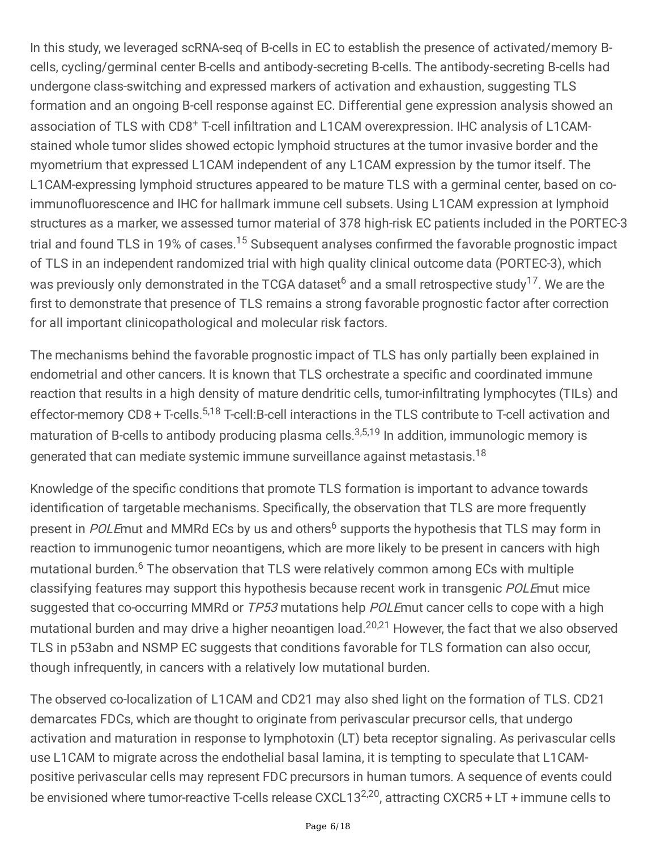In this study, we leveraged scRNA-seq of B-cells in EC to establish the presence of activated/memory Bcells, cycling/germinal center B-cells and antibody-secreting B-cells. The antibody-secreting B-cells had undergone class-switching and expressed markers of activation and exhaustion, suggesting TLS formation and an ongoing B-cell response against EC. Differential gene expression analysis showed an association of TLS with CD8<sup>+</sup> T-cell infiltration and L1CAM overexpression. IHC analysis of L1CAMstained whole tumor slides showed ectopic lymphoid structures at the tumor invasive border and the myometrium that expressed L1CAM independent of any L1CAM expression by the tumor itself. The L1CAM-expressing lymphoid structures appeared to be mature TLS with a germinal center, based on coimmunofluorescence and IHC for hallmark immune cell subsets. Using L1CAM expression at lymphoid structures as a marker, we assessed tumor material of 378 high-risk EC patients included in the PORTEC-3 trial and found TLS in 19% of cases.<sup>15</sup> Subsequent analyses confirmed the favorable prognostic impact of TLS in an independent randomized trial with high quality clinical outcome data (PORTEC-3), which was previously only demonstrated in the TCGA dataset<sup>6</sup> and a small retrospective study<sup>17</sup>. We are the first to demonstrate that presence of TLS remains a strong favorable prognostic factor after correction for all important clinicopathological and molecular risk factors.

The mechanisms behind the favorable prognostic impact of TLS has only partially been explained in endometrial and other cancers. It is known that TLS orchestrate a specific and coordinated immune reaction that results in a high density of mature dendritic cells, tumor-infiltrating lymphocytes (TILs) and effector-memory CD8 + T-cells.<sup>5,18</sup> T-cell:B-cell interactions in the TLS contribute to T-cell activation and maturation of B-cells to antibody producing plasma cells.<sup>3,5,19</sup> In addition, immunologic memory is generated that can mediate systemic immune surveillance against metastasis.<sup>18</sup>

Knowledge of the specific conditions that promote TLS formation is important to advance towards identification of targetable mechanisms. Specifically, the observation that TLS are more frequently present in POLEmut and MMRd ECs by us and others<sup>6</sup> supports the hypothesis that TLS may form in reaction to immunogenic tumor neoantigens, which are more likely to be present in cancers with high mutational burden. <sup>6</sup> The observation that TLS were relatively common among ECs with multiple classifying features may support this hypothesis because recent work in transgenic POLEmut mice suggested that co-occurring MMRd or TP53 mutations help POLEmut cancer cells to cope with a high mutational burden and may drive a higher neoantigen load.<sup>20,21</sup> However, the fact that we also observed TLS in p53abn and NSMP EC suggests that conditions favorable for TLS formation can also occur, though infrequently, in cancers with a relatively low mutational burden.

The observed co-localization of L1CAM and CD21 may also shed light on the formation of TLS. CD21 demarcates FDCs, which are thought to originate from perivascular precursor cells, that undergo activation and maturation in response to lymphotoxin (LT) beta receptor signaling. As perivascular cells use L1CAM to migrate across the endothelial basal lamina, it is tempting to speculate that L1CAMpositive perivascular cells may represent FDC precursors in human tumors. A sequence of events could be envisioned where tumor-reactive T-cells release CXCL13<sup>2,20</sup>, attracting CXCR5 + LT + immune cells to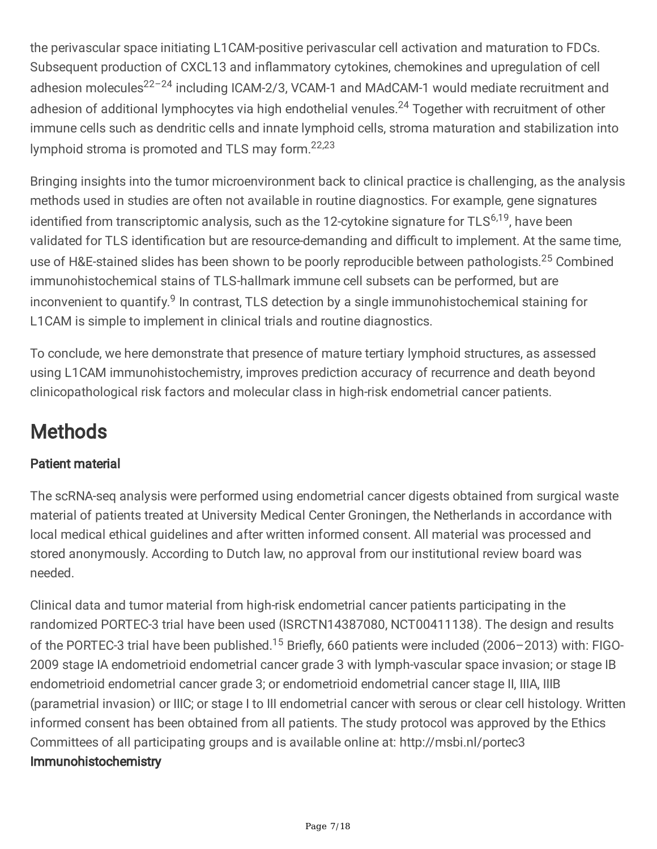the perivascular space initiating L1CAM-positive perivascular cell activation and maturation to FDCs. Subsequent production of CXCL13 and inflammatory cytokines, chemokines and upregulation of cell adhesion molecules<sup>22-24</sup> including ICAM-2/3, VCAM-1 and MAdCAM-1 would mediate recruitment and adhesion of additional lymphocytes via high endothelial venules.<sup>24</sup> Together with recruitment of other immune cells such as dendritic cells and innate lymphoid cells, stroma maturation and stabilization into lymphoid stroma is promoted and TLS may form.<sup>22,23</sup>

Bringing insights into the tumor microenvironment back to clinical practice is challenging, as the analysis methods used in studies are often not available in routine diagnostics. For example, gene signatures identified from transcriptomic analysis, such as the 12-cytokine signature for TLS<sup>6,19</sup>, have been validated for TLS identification but are resource-demanding and difficult to implement. At the same time, use of H&E-stained slides has been shown to be poorly reproducible between pathologists.<sup>25</sup> Combined immunohistochemical stains of TLS-hallmark immune cell subsets can be performed, but are inconvenient to quantify.<sup>9</sup> In contrast, TLS detection by a single immunohistochemical staining for L1CAM is simple to implement in clinical trials and routine diagnostics.

To conclude, we here demonstrate that presence of mature tertiary lymphoid structures, as assessed using L1CAM immunohistochemistry, improves prediction accuracy of recurrence and death beyond clinicopathological risk factors and molecular class in high-risk endometrial cancer patients.

# **Methods**

## Patient material

The scRNA-seq analysis were performed using endometrial cancer digests obtained from surgical waste material of patients treated at University Medical Center Groningen, the Netherlands in accordance with local medical ethical guidelines and after written informed consent. All material was processed and stored anonymously. According to Dutch law, no approval from our institutional review board was needed.

Clinical data and tumor material from high-risk endometrial cancer patients participating in the randomized PORTEC-3 trial have been used (ISRCTN14387080, NCT00411138). The design and results of the PORTEC-3 trial have been published.<sup>15</sup> Briefly, 660 patients were included (2006-2013) with: FIGO-2009 stage IA endometrioid endometrial cancer grade 3 with lymph-vascular space invasion; or stage IB endometrioid endometrial cancer grade 3; or endometrioid endometrial cancer stage II, IIIA, IIIB (parametrial invasion) or IIIC; or stage I to III endometrial cancer with serous or clear cell histology. Written informed consent has been obtained from all patients. The study protocol was approved by the Ethics Committees of all participating groups and is available online at: http://msbi.nl/portec3 Immunohistochemistry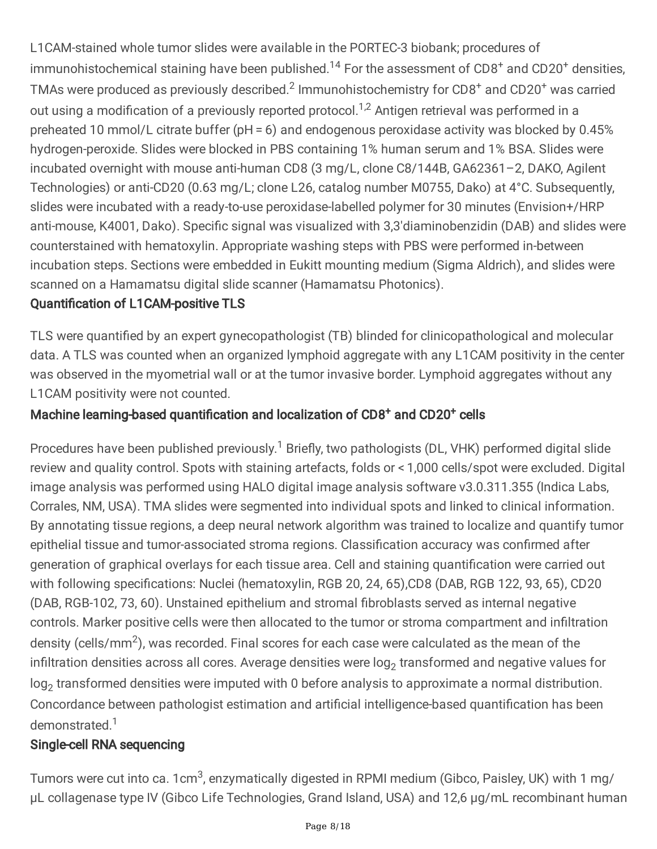L1CAM-stained whole tumor slides were available in the PORTEC-3 biobank; procedures of immunohistochemical staining have been published.<sup>14</sup> For the assessment of CD8<sup>+</sup> and CD20<sup>+</sup> densities, TMAs were produced as previously described.<sup>2</sup> Immunohistochemistry for CD8<sup>+</sup> and CD20<sup>+</sup> was carried out using a modification of a previously reported protocol.<sup>1,2</sup> Antigen retrieval was performed in a preheated 10 mmol/L citrate buffer (pH = 6) and endogenous peroxidase activity was blocked by 0.45% hydrogen-peroxide. Slides were blocked in PBS containing 1% human serum and 1% BSA. Slides were incubated overnight with mouse anti-human CD8 (3 mg/L, clone C8/144B, GA62361–2, DAKO, Agilent Technologies) or anti-CD20 (0.63 mg/L; clone L26, catalog number M0755, Dako) at 4°C. Subsequently, slides were incubated with a ready-to-use peroxidase-labelled polymer for 30 minutes (Envision+/HRP anti-mouse, K4001, Dako). Specific signal was visualized with 3,3′diaminobenzidin (DAB) and slides were counterstained with hematoxylin. Appropriate washing steps with PBS were performed in-between incubation steps. Sections were embedded in Eukitt mounting medium (Sigma Aldrich), and slides were scanned on a Hamamatsu digital slide scanner (Hamamatsu Photonics).

### Quantification of L1CAM-positive TLS

TLS were quantified by an expert gynecopathologist (TB) blinded for clinicopathological and molecular data. A TLS was counted when an organized lymphoid aggregate with any L1CAM positivity in the center was observed in the myometrial wall or at the tumor invasive border. Lymphoid aggregates without any L1CAM positivity were not counted.

## Machine learning-based quantification and localization of CD8<sup>+</sup> and CD20<sup>+</sup> cells

Procedures have been published previously.<sup>1</sup> Briefly, two pathologists (DL, VHK) performed digital slide review and quality control. Spots with staining artefacts, folds or < 1,000 cells/spot were excluded. Digital image analysis was performed using HALO digital image analysis software v3.0.311.355 (Indica Labs, Corrales, NM, USA). TMA slides were segmented into individual spots and linked to clinical information. By annotating tissue regions, a deep neural network algorithm was trained to localize and quantify tumor epithelial tissue and tumor-associated stroma regions. Classification accuracy was confirmed after generation of graphical overlays for each tissue area. Cell and staining quantification were carried out with following specifications: Nuclei (hematoxylin, RGB 20, 24, 65),CD8 (DAB, RGB 122, 93, 65), CD20 (DAB, RGB-102, 73, 60). Unstained epithelium and stromal fibroblasts served as internal negative controls. Marker positive cells were then allocated to the tumor or stroma compartment and infiltration density (cells/mm<sup>2</sup>), was recorded. Final scores for each case were calculated as the mean of the infiltration densities across all cores. Average densities were log $_2$  transformed and negative values for log $_2$  transformed densities were imputed with 0 before analysis to approximate a normal distribution. Concordance between pathologist estimation and artificial intelligence-based quantification has been demonstrated. 1

### Single-cell RNA sequencing

Tumors were cut into ca. 1cm<sup>3</sup>, enzymatically digested in RPMI medium (Gibco, Paisley, UK) with 1 mg/ µL collagenase type IV (Gibco Life Technologies, Grand Island, USA) and 12,6 µg/mL recombinant human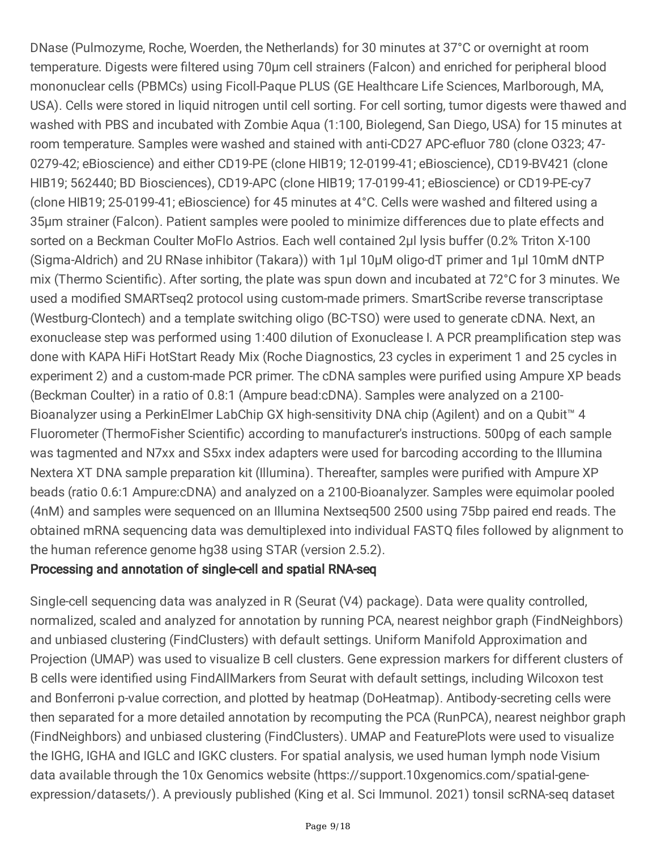DNase (Pulmozyme, Roche, Woerden, the Netherlands) for 30 minutes at 37°C or overnight at room temperature. Digests were filtered using 70µm cell strainers (Falcon) and enriched for peripheral blood mononuclear cells (PBMCs) using Ficoll-Paque PLUS (GE Healthcare Life Sciences, Marlborough, MA, USA). Cells were stored in liquid nitrogen until cell sorting. For cell sorting, tumor digests were thawed and washed with PBS and incubated with Zombie Aqua (1:100, Biolegend, San Diego, USA) for 15 minutes at room temperature. Samples were washed and stained with anti-CD27 APC-efluor 780 (clone O323; 47- 0279-42; eBioscience) and either CD19-PE (clone HIB19; 12-0199-41; eBioscience), CD19-BV421 (clone HIB19; 562440; BD Biosciences), CD19-APC (clone HIB19; 17-0199-41; eBioscience) or CD19-PE-cy7 (clone HIB19; 25-0199-41; eBioscience) for 45 minutes at 4°C. Cells were washed and filtered using a 35µm strainer (Falcon). Patient samples were pooled to minimize differences due to plate effects and sorted on a Beckman Coulter MoFlo Astrios. Each well contained 2µl lysis buffer (0.2% Triton X-100 (Sigma-Aldrich) and 2U RNase inhibitor (Takara)) with 1µl 10µM oligo-dT primer and 1µl 10mM dNTP mix (Thermo Scientific). After sorting, the plate was spun down and incubated at 72°C for 3 minutes. We used a modified SMARTseq2 protocol using custom-made primers. SmartScribe reverse transcriptase (Westburg-Clontech) and a template switching oligo (BC-TSO) were used to generate cDNA. Next, an exonuclease step was performed using 1:400 dilution of Exonuclease I. A PCR preamplification step was done with KAPA HiFi HotStart Ready Mix (Roche Diagnostics, 23 cycles in experiment 1 and 25 cycles in experiment 2) and a custom-made PCR primer. The cDNA samples were purified using Ampure XP beads (Beckman Coulter) in a ratio of 0.8:1 (Ampure bead:cDNA). Samples were analyzed on a 2100- Bioanalyzer using a PerkinElmer LabChip GX high-sensitivity DNA chip (Agilent) and on a Qubit™ 4 Fluorometer (ThermoFisher Scientific) according to manufacturer's instructions. 500pg of each sample was tagmented and N7xx and S5xx index adapters were used for barcoding according to the Illumina Nextera XT DNA sample preparation kit (Illumina). Thereafter, samples were purified with Ampure XP beads (ratio 0.6:1 Ampure:cDNA) and analyzed on a 2100-Bioanalyzer. Samples were equimolar pooled (4nM) and samples were sequenced on an Illumina Nextseq500 2500 using 75bp paired end reads. The obtained mRNA sequencing data was demultiplexed into individual FASTQ files followed by alignment to the human reference genome hg38 using STAR (version 2.5.2).

### Processing and annotation of single-cell and spatial RNA-seq

Single-cell sequencing data was analyzed in R (Seurat (V4) package). Data were quality controlled, normalized, scaled and analyzed for annotation by running PCA, nearest neighbor graph (FindNeighbors) and unbiased clustering (FindClusters) with default settings. Uniform Manifold Approximation and Projection (UMAP) was used to visualize B cell clusters. Gene expression markers for different clusters of B cells were identified using FindAllMarkers from Seurat with default settings, including Wilcoxon test and Bonferroni p-value correction, and plotted by heatmap (DoHeatmap). Antibody-secreting cells were then separated for a more detailed annotation by recomputing the PCA (RunPCA), nearest neighbor graph (FindNeighbors) and unbiased clustering (FindClusters). UMAP and FeaturePlots were used to visualize the IGHG, IGHA and IGLC and IGKC clusters. For spatial analysis, we used human lymph node Visium data available through the 10x Genomics website (https://support.10xgenomics.com/spatial-geneexpression/datasets/). A previously published (King et al. Sci Immunol. 2021) tonsil scRNA-seq dataset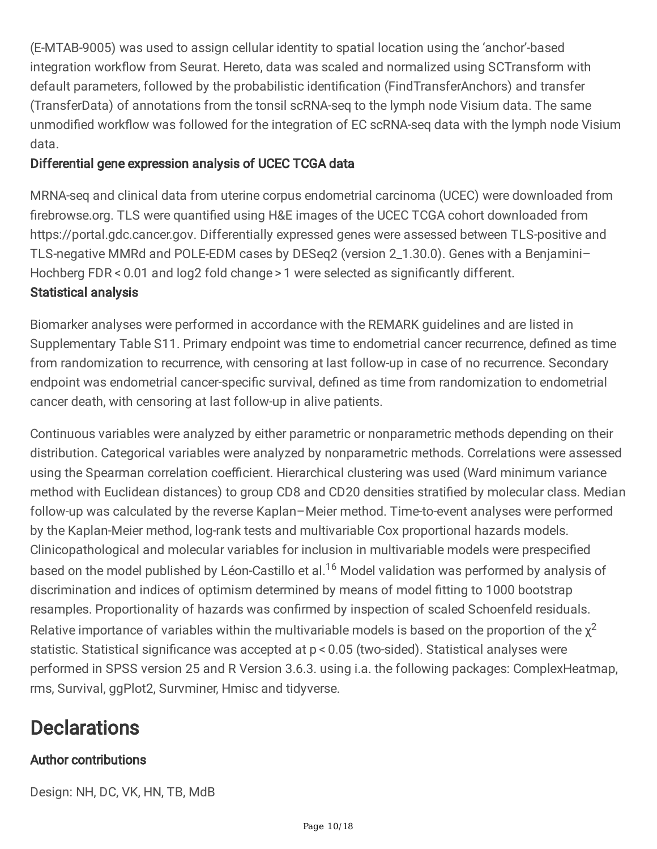(E-MTAB-9005) was used to assign cellular identity to spatial location using the 'anchor'-based integration workflow from Seurat. Hereto, data was scaled and normalized using SCTransform with default parameters, followed by the probabilistic identification (FindTransferAnchors) and transfer (TransferData) of annotations from the tonsil scRNA-seq to the lymph node Visium data. The same unmodified workflow was followed for the integration of EC scRNA-seq data with the lymph node Visium data.

### Differential gene expression analysis of UCEC TCGA data

MRNA-seq and clinical data from uterine corpus endometrial carcinoma (UCEC) were downloaded from firebrowse.org. TLS were quantified using H&E images of the UCEC TCGA cohort downloaded from https://portal.gdc.cancer.gov. Differentially expressed genes were assessed between TLS-positive and TLS-negative MMRd and POLE-EDM cases by DESeq2 (version 2\_1.30.0). Genes with a Benjamini– Hochberg FDR < 0.01 and log2 fold change > 1 were selected as significantly different. Statistical analysis

Biomarker analyses were performed in accordance with the REMARK guidelines and are listed in Supplementary Table S11. Primary endpoint was time to endometrial cancer recurrence, defined as time from randomization to recurrence, with censoring at last follow-up in case of no recurrence. Secondary endpoint was endometrial cancer-specific survival, defined as time from randomization to endometrial cancer death, with censoring at last follow-up in alive patients.

Continuous variables were analyzed by either parametric or nonparametric methods depending on their distribution. Categorical variables were analyzed by nonparametric methods. Correlations were assessed using the Spearman correlation coefficient. Hierarchical clustering was used (Ward minimum variance method with Euclidean distances) to group CD8 and CD20 densities stratified by molecular class. Median follow-up was calculated by the reverse Kaplan–Meier method. Time-to-event analyses were performed by the Kaplan-Meier method, log-rank tests and multivariable Cox proportional hazards models. Clinicopathological and molecular variables for inclusion in multivariable models were prespecified based on the model published by Léon-Castillo et al.<sup>16</sup> Model validation was performed by analysis of discrimination and indices of optimism determined by means of model fitting to 1000 bootstrap resamples. Proportionality of hazards was confirmed by inspection of scaled Schoenfeld residuals. Relative importance of variables within the multivariable models is based on the proportion of the  $\chi^2$ statistic. Statistical significance was accepted at p < 0.05 (two-sided). Statistical analyses were performed in SPSS version 25 and R Version 3.6.3. using i.a. the following packages: ComplexHeatmap, rms, Survival, ggPlot2, Survminer, Hmisc and tidyverse.

# **Declarations**

### Author contributions

Design: NH, DC, VK, HN, TB, MdB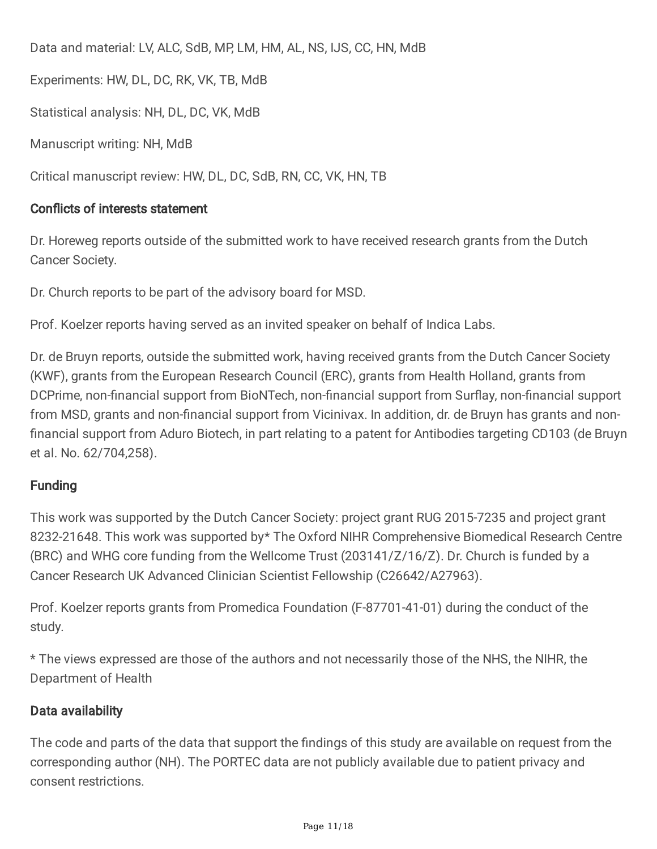Data and material: LV, ALC, SdB, MP, LM, HM, AL, NS, IJS, CC, HN, MdB

Experiments: HW, DL, DC, RK, VK, TB, MdB

Statistical analysis: NH, DL, DC, VK, MdB

Manuscript writing: NH, MdB

Critical manuscript review: HW, DL, DC, SdB, RN, CC, VK, HN, TB

### Conflicts of interests statement

Dr. Horeweg reports outside of the submitted work to have received research grants from the Dutch Cancer Society.

Dr. Church reports to be part of the advisory board for MSD.

Prof. Koelzer reports having served as an invited speaker on behalf of Indica Labs.

Dr. de Bruyn reports, outside the submitted work, having received grants from the Dutch Cancer Society (KWF), grants from the European Research Council (ERC), grants from Health Holland, grants from DCPrime, non-financial support from BioNTech, non-financial support from Surflay, non-financial support from MSD, grants and non-financial support from Vicinivax. In addition, dr. de Bruyn has grants and non financial support from Aduro Biotech, in part relating to a patent for Antibodies targeting CD103 (de Bruyn et al. No. 62/704,258).

### Funding

This work was supported by the Dutch Cancer Society: project grant RUG 2015-7235 and project grant 8232-21648. This work was supported by\* The Oxford NIHR Comprehensive Biomedical Research Centre (BRC) and WHG core funding from the Wellcome Trust (203141/Z/16/Z). Dr. Church is funded by a Cancer Research UK Advanced Clinician Scientist Fellowship (C26642/A27963).

Prof. Koelzer reports grants from Promedica Foundation (F-87701-41-01) during the conduct of the study.

\* The views expressed are those of the authors and not necessarily those of the NHS, the NIHR, the Department of Health

### Data availability

The code and parts of the data that support the findings of this study are available on request from the corresponding author (NH). The PORTEC data are not publicly available due to patient privacy and consent restrictions.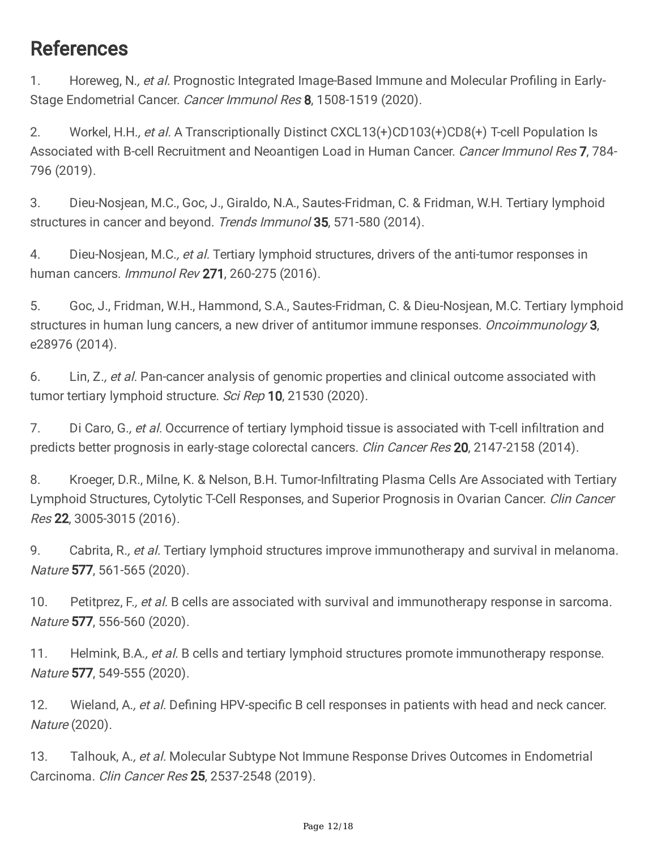## References

1. Horeweg, N., et al. Prognostic Integrated Image-Based Immune and Molecular Profiling in Early-Stage Endometrial Cancer. Cancer Immunol Res 8, 1508-1519 (2020).

2. Workel, H.H., et al. A Transcriptionally Distinct CXCL13(+)CD103(+)CD8(+) T-cell Population Is Associated with B-cell Recruitment and Neoantigen Load in Human Cancer. Cancer Immunol Res 7, 784-796 (2019).

3. Dieu-Nosjean, M.C., Goc, J., Giraldo, N.A., Sautes-Fridman, C. & Fridman, W.H. Tertiary lymphoid structures in cancer and beyond. Trends Immunol 35, 571-580 (2014).

4. Dieu-Nosjean, M.C., et al. Tertiary lymphoid structures, drivers of the anti-tumor responses in human cancers. Immunol Rev 271, 260-275 (2016).

5. Goc, J., Fridman, W.H., Hammond, S.A., Sautes-Fridman, C. & Dieu-Nosjean, M.C. Tertiary lymphoid structures in human lung cancers, a new driver of antitumor immune responses. *Oncoimmunology* 3, e28976 (2014).

6. Lin, Z., et al. Pan-cancer analysis of genomic properties and clinical outcome associated with tumor tertiary lymphoid structure. Sci Rep 10, 21530 (2020).

7. Di Caro, G., et al. Occurrence of tertiary lymphoid tissue is associated with T-cell infiltration and predicts better prognosis in early-stage colorectal cancers. Clin Cancer Res 20, 2147-2158 (2014).

8. Kroeger, D.R., Milne, K. & Nelson, B.H. Tumor-Infiltrating Plasma Cells Are Associated with Tertiary Lymphoid Structures, Cytolytic T-Cell Responses, and Superior Prognosis in Ovarian Cancer. Clin Cancer Res 22, 3005-3015 (2016).

9. Cabrita, R., et al. Tertiary lymphoid structures improve immunotherapy and survival in melanoma. Nature 577, 561-565 (2020).

10. Petitprez, F., et al. B cells are associated with survival and immunotherapy response in sarcoma. Nature 577, 556-560 (2020).

11. Helmink, B.A., et al. B cells and tertiary lymphoid structures promote immunotherapy response. Nature 577, 549-555 (2020).

12. Wieland, A., et al. Defining HPV-specific B cell responses in patients with head and neck cancer. Nature (2020).

13. Talhouk, A., et al. Molecular Subtype Not Immune Response Drives Outcomes in Endometrial Carcinoma. Clin Cancer Res 25, 2537-2548 (2019).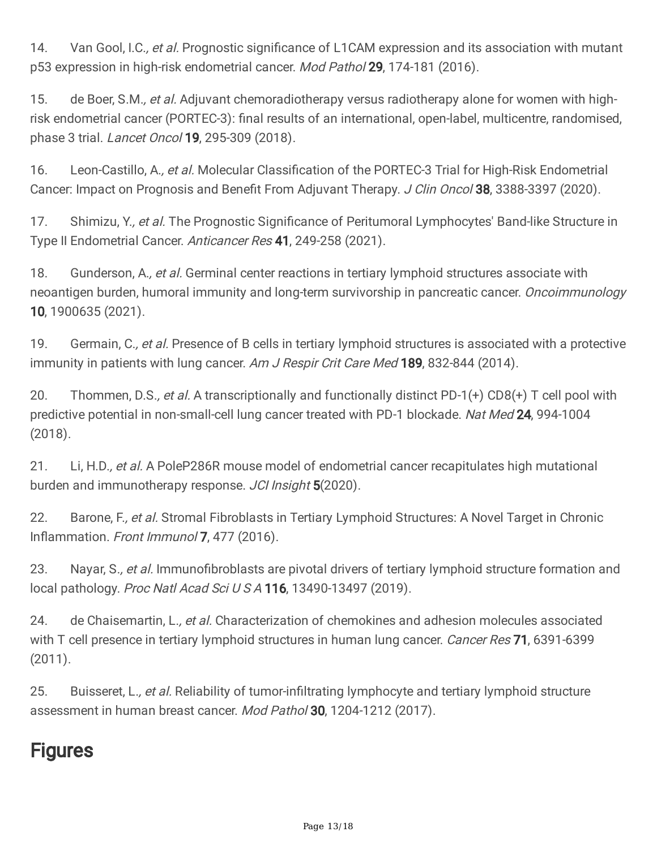14. Van Gool, I.C., et al. Prognostic significance of L1CAM expression and its association with mutant p53 expression in high-risk endometrial cancer. Mod Pathol 29, 174-181 (2016).

15. de Boer, S.M., et al. Adjuvant chemoradiotherapy versus radiotherapy alone for women with highrisk endometrial cancer (PORTEC-3): final results of an international, open-label, multicentre, randomised, phase 3 trial. Lancet Oncol 19, 295-309 (2018).

16. Leon-Castillo, A., et al. Molecular Classification of the PORTEC-3 Trial for High-Risk Endometrial Cancer: Impact on Prognosis and Benefit From Adjuvant Therapy. J Clin Oncol 38, 3388-3397 (2020).

17. Shimizu, Y., et al. The Prognostic Significance of Peritumoral Lymphocytes' Band-like Structure in Type II Endometrial Cancer. Anticancer Res 41, 249-258 (2021).

18. Gunderson, A., et al. Germinal center reactions in tertiary lymphoid structures associate with neoantigen burden, humoral immunity and long-term survivorship in pancreatic cancer. Oncoimmunology 10, 1900635 (2021).

19. Germain, C., et al. Presence of B cells in tertiary lymphoid structures is associated with a protective immunity in patients with lung cancer. Am J Respir Crit Care Med 189, 832-844 (2014).

20. Thommen, D.S., et al. A transcriptionally and functionally distinct PD-1(+) CD8(+) T cell pool with predictive potential in non-small-cell lung cancer treated with PD-1 blockade. Nat Med 24, 994-1004 (2018).

21. Li, H.D., et al. A PoleP286R mouse model of endometrial cancer recapitulates high mutational burden and immunotherapy response. JCI Insight 5(2020).

22. Barone, F., et al. Stromal Fibroblasts in Tertiary Lymphoid Structures: A Novel Target in Chronic Inflammation. Front Immunol 7, 477 (2016).

23. Nayar, S., et al. Immunofibroblasts are pivotal drivers of tertiary lymphoid structure formation and local pathology. Proc Natl Acad Sci U S A 116, 13490-13497 (2019).

24. de Chaisemartin, L., et al. Characterization of chemokines and adhesion molecules associated with T cell presence in tertiary lymphoid structures in human lung cancer. Cancer Res 71, 6391-6399 (2011).

25. Buisseret, L., et al. Reliability of tumor-infiltrating lymphocyte and tertiary lymphoid structure assessment in human breast cancer. Mod Pathol 30, 1204-1212 (2017).

# **Figures**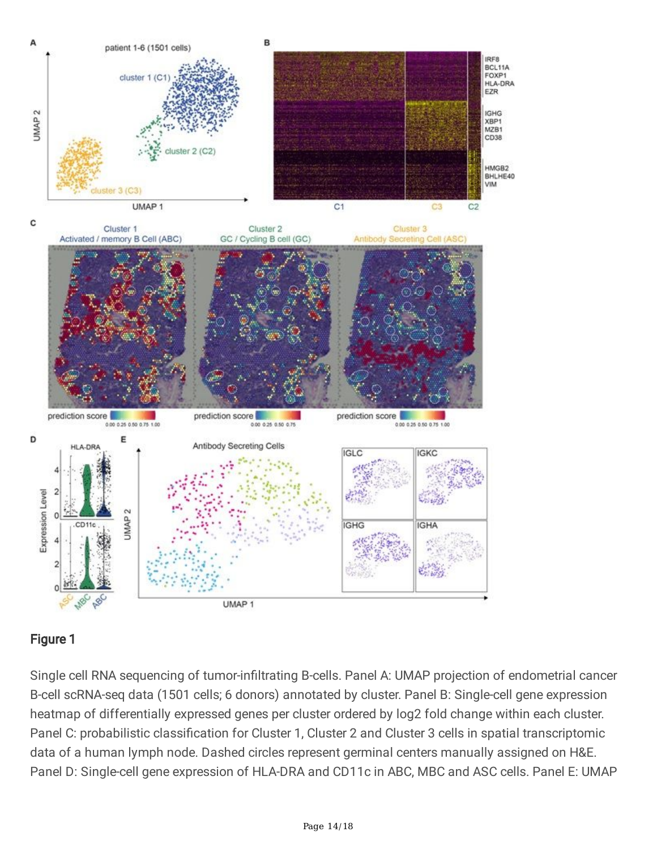

### Figure 1

Single cell RNA sequencing of tumor-infiltrating B-cells. Panel A: UMAP projection of endometrial cancer B-cell scRNA-seq data (1501 cells; 6 donors) annotated by cluster. Panel B: Single-cell gene expression heatmap of differentially expressed genes per cluster ordered by log2 fold change within each cluster. Panel C: probabilistic classification for Cluster 1, Cluster 2 and Cluster 3 cells in spatial transcriptomic data of a human lymph node. Dashed circles represent germinal centers manually assigned on H&E. Panel D: Single-cell gene expression of HLA-DRA and CD11c in ABC, MBC and ASC cells. Panel E: UMAP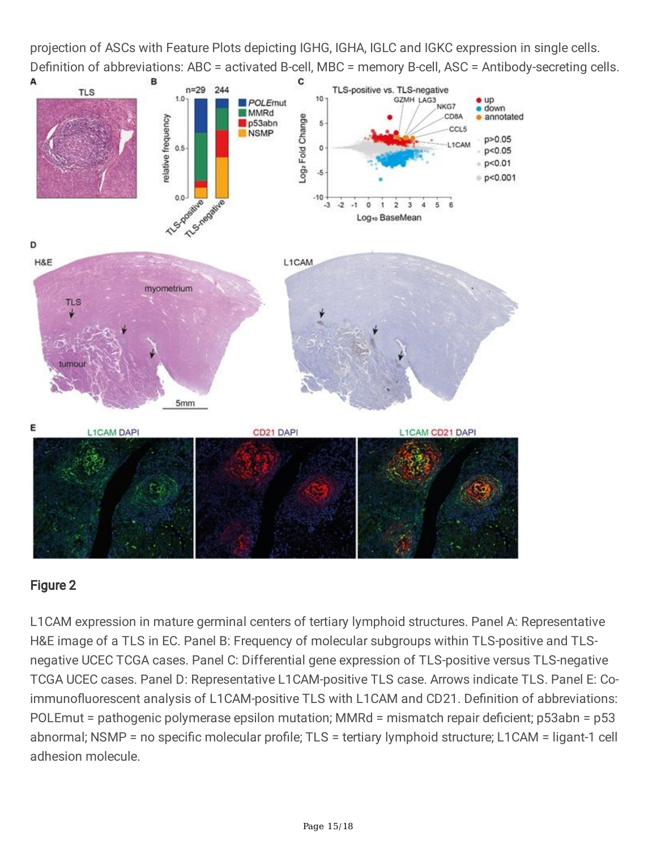projection of ASCs with Feature Plots depicting IGHG, IGHA, IGLC and IGKC expression in single cells. Definition of abbreviations: ABC = activated B-cell, MBC = memory B-cell, ASC = Antibody-secreting cells.



### Figure 2

L1CAM expression in mature germinal centers of tertiary lymphoid structures. Panel A: Representative H&E image of a TLS in EC. Panel B: Frequency of molecular subgroups within TLS-positive and TLSnegative UCEC TCGA cases. Panel C: Differential gene expression of TLS-positive versus TLS-negative TCGA UCEC cases. Panel D: Representative L1CAM-positive TLS case. Arrows indicate TLS. Panel E: Coimmunofluorescent analysis of L1CAM-positive TLS with L1CAM and CD21. Definition of abbreviations: POLEmut = pathogenic polymerase epsilon mutation; MMRd = mismatch repair deficient; p53abn = p53 abnormal; NSMP = no specific molecular profile; TLS = tertiary lymphoid structure; L1CAM = ligant-1 cell adhesion molecule.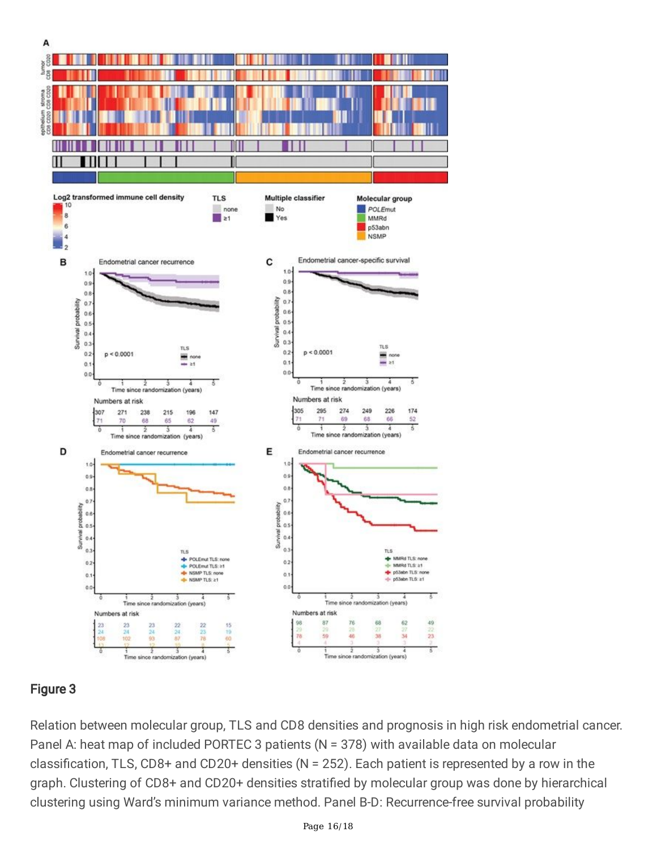

### Figure 3

Relation between molecular group, TLS and CD8 densities and prognosis in high risk endometrial cancer. Panel A: heat map of included PORTEC 3 patients (N = 378) with available data on molecular classification, TLS, CD8+ and CD20+ densities (N = 252). Each patient is represented by a row in the graph. Clustering of CD8+ and CD20+ densities stratified by molecular group was done by hierarchical clustering using Ward's minimum variance method. Panel B-D: Recurrence-free survival probability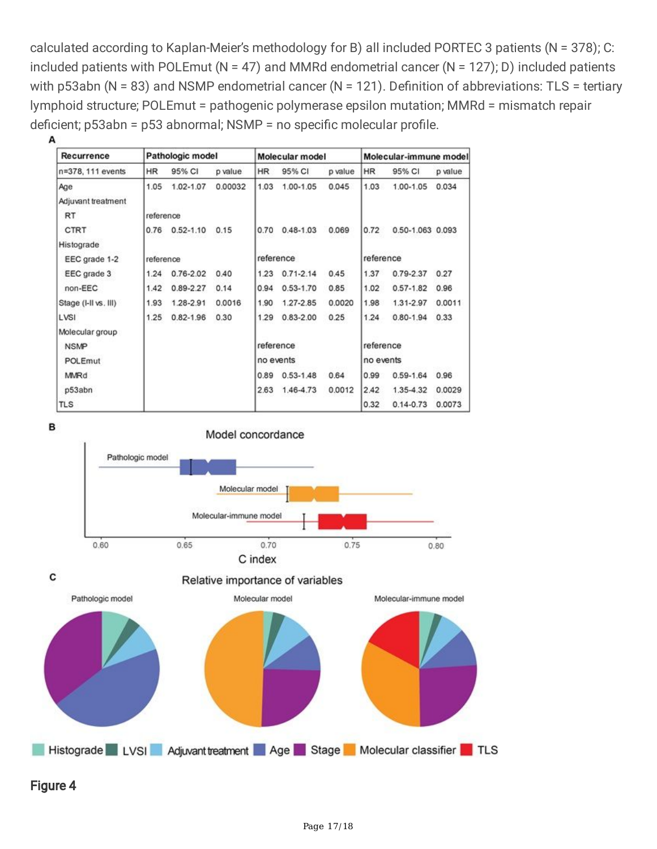calculated according to Kaplan-Meier's methodology for B) all included PORTEC 3 patients (N = 378); C: included patients with POLEmut (N = 47) and MMRd endometrial cancer (N = 127); D) included patients with p53abn (N = 83) and NSMP endometrial cancer (N = 121). Definition of abbreviations: TLS = tertiary lymphoid structure; POLEmut = pathogenic polymerase epsilon mutation; MMRd = mismatch repair deficient; p53abn = p53 abnormal; NSMP = no specific molecular profile.

| Recurrence           | Pathologic model |               |          | Molecular model |               |         | Molecular-immune model |                  |         |
|----------------------|------------------|---------------|----------|-----------------|---------------|---------|------------------------|------------------|---------|
| n=378, 111 events    | <b>HR</b>        | 95% CI        | p value. | <b>HR</b>       | 95% CI        | p value | <b>HR</b>              | 95% CI           | p value |
| Age                  | 1.05             | 1.02-1.07     | 0.00032  | 1.03            | 1.00-1.05     | 0.045   | 1.03                   | 1.00-1.05        | 0.034   |
| Adjuvant treatment   |                  |               |          |                 |               |         |                        |                  |         |
| RT                   | reference        |               |          |                 |               |         |                        |                  |         |
| CTRT                 | 0.76             | $0.52 - 1.10$ | 0.15     | 0.70            | $0.48 - 1.03$ | 0.069   | 0.72                   | 0.50-1.063 0.093 |         |
| Histograde           |                  |               |          |                 |               |         |                        |                  |         |
| EEC grade 1-2        | reference        |               |          | reference       |               |         | reference              |                  |         |
| EEC grade 3          | 1.24             | $0.76 - 2.02$ | 0.40     | 1.23            | $0.71 - 2.14$ | 0.45    | 1.37                   | 0.79-2.37        | 0.27    |
| non-EEC              | 1.42             | $0.89 - 2.27$ | 0.14     | 0.94            | $0.53 - 1.70$ | 0.85    | 1.02                   | $0.57 - 1.82$    | 0.96    |
| Stage (I-II vs. III) | 1.93             | 1.28-2.91     | 0.0016   | 1.90            | 1.27-2.85     | 0.0020  | 1.98                   | 1.31-2.97        | 0.0011  |
| LVSI                 | 1.25             | $0.82 - 1.96$ | 0.30     | 1.29            | $0.83 - 2.00$ | 0.25    | 1.24                   | $0.80 - 1.94$    | 0.33    |
| Molecular group      |                  |               |          |                 |               |         |                        |                  |         |
| <b>NSMP</b>          |                  |               |          | reference       |               |         | reference              |                  |         |
| POLEmut              |                  |               |          | no events       |               |         | no events              |                  |         |
| MMRd                 |                  |               |          | 0.89            | $0.53 - 1.48$ | 0.64    | 0.99                   | 0.59-1.64        | 0.96    |
| p53abn               |                  |               |          | 2.63            | 1.46-4.73     | 0.0012  | 2.42                   | 1.35-4.32        | 0.0029  |
| <b>TLS</b>           |                  |               |          |                 |               |         | 0.32                   | $0.14 - 0.73$    | 0.0073  |





### Figure 4